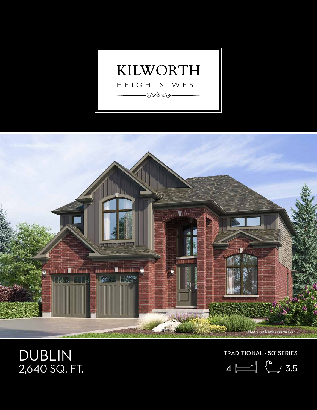



## DUBLIN 2,640 SQ. FT.

TRADITIONAL • 50' SERIES

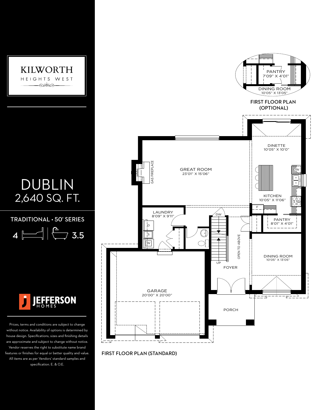

## DUBLIN 2,640 SQ. FT.

 $TRADITIONAL \cdot 50'$  SERIES

 $4 \leftarrow$   $\frac{2}{3.5}$ 



Prices, terms and conditions are subject to change without notice. Availability of options is determined by house design. Specifications, sizes and finishing details are approximate and subject to change without notice. Vendor reserves the right to substitute name brand features or finishes for equal or better quality and value. All items are as per Vendors' standard samples and specification. E. & O.E.



FIRST FLOOR PLAN (STANDARD)

FIRST FLOOR PLAN (STANDARD)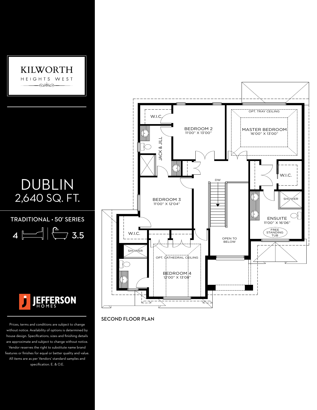

10'05" X 13'05"

## DUBLIN 2,640 SQ. FT.

TRADITIONAL • 50' SERIES

OPEN TO ABOVE

 $4 \sim$  3.5  $1\bigcap$ 



Prices, terms and conditions are subject to change without notice. Availability of options is determined by house design. Specifications, sizes and finishing details are approximate and subject to change without notice. Vendor reserves the right to substitute name brand features or finishes for equal or better quality and value. All items are as per Vendors' standard samples and specification. E. & O.E.



SECOND FLOOR PLAN